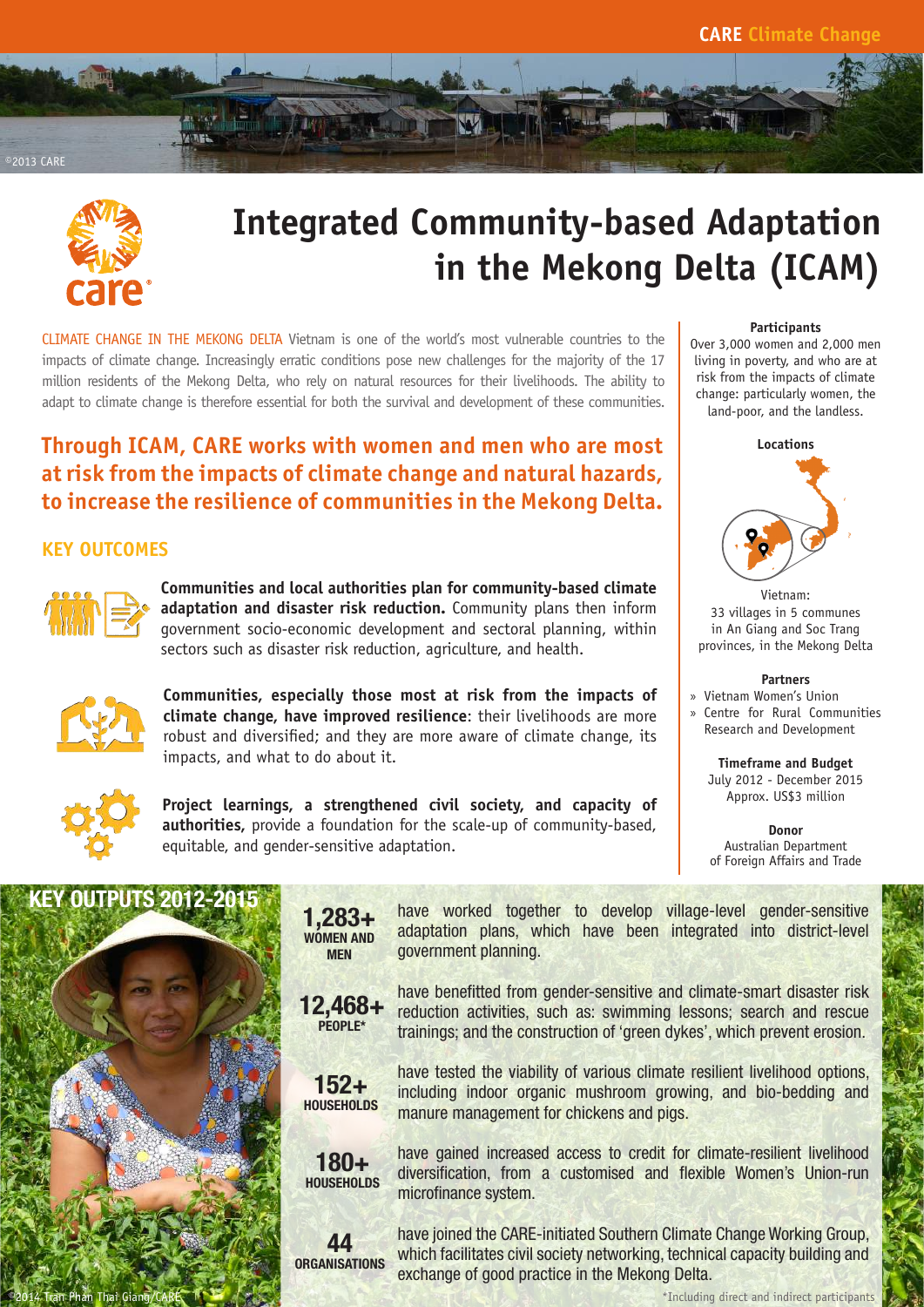



# **Integrated Community-based Adaptation in the Mekong Delta (ICAM)**

CLIMATE CHANGE IN THE MEKONG DELTA Vietnam is one of the world's most vulnerable countries to the impacts of climate change. Increasingly erratic conditions pose new challenges for the majority of the 17 million residents of the Mekong Delta, who rely on natural resources for their livelihoods. The ability to adapt to climate change is therefore essential for both the survival and development of these communities.

## **Through ICAM, CARE works with women and men who are most at risk from the impacts of climate change and natural hazards, to increase the resilience of communities in the Mekong Delta.**

## **KEY OUTCOMES**



**Communities and local authorities plan for community-based climate adaptation and disaster risk reduction.** Community plans then inform government socio-economic development and sectoral planning, within sectors such as disaster risk reduction, agriculture, and health.



**Communities, especially those most at risk from the impacts of climate change, have improved resilience**: their livelihoods are more robust and diversified; and they are more aware of climate change, its impacts, and what to do about it.



**Project learnings, a strengthened civil society, and capacity of authorities,** provide a foundation for the scale-up of community-based, equitable, and gender-sensitive adaptation.

## **Participants**

Over 3,000 women and 2,000 men living in poverty, and who are at risk from the impacts of climate change: particularly women, the land-poor, and the landless.



Vietnam: 33 villages in 5 communes in An Giang and Soc Trang provinces, in the Mekong Delta

#### **Partners**

- » Vietnam Women's Union
- Centre for Rural Communities Research and Development

**Timeframe and Budget**  July 2012 - December 2015 Approx. US\$3 million

**Donor** Australian Department of Foreign Affairs and Trade



1,283+ WOMEN AND MEN



have worked together to develop village-level gender-sensitive adaptation plans, which have been integrated into district-level government planning.

have benefitted from gender-sensitive and climate-smart disaster risk reduction activities, such as: swimming lessons; search and rescue trainings; and the construction of 'green dykes', which prevent erosion.



have tested the viability of various climate resilient livelihood options, including indoor organic mushroom growing, and bio-bedding and manure management for chickens and pigs.



have gained increased access to credit for climate-resilient livelihood diversification, from a customised and flexible Women's Union-run microfinance system.

44 **ORGANISATIONS**  have joined the CARE-initiated Southern Climate Change Working Group, which facilitates civil society networking, technical capacity building and exchange of good practice in the Mekong Delta.